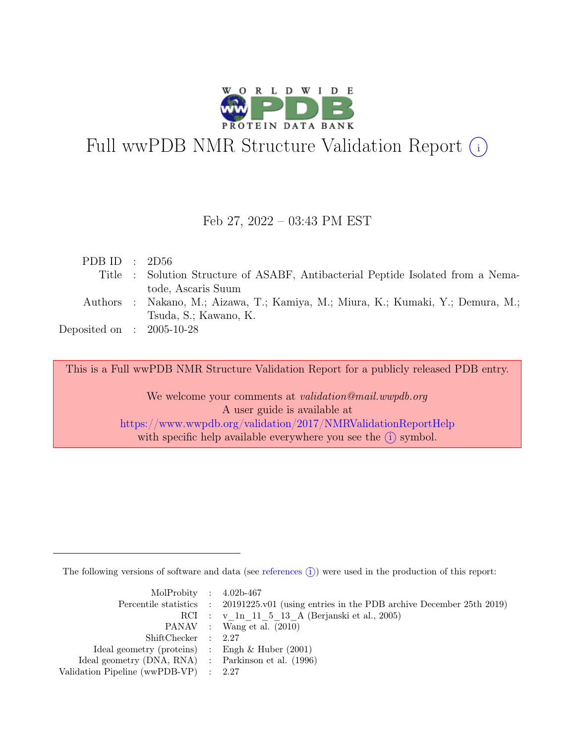

# Full wwPDB NMR Structure Validation Report (i)

### Feb 27, 2022 – 03:43 PM EST

| PDB ID : $2D56$             |                                                                                  |
|-----------------------------|----------------------------------------------------------------------------------|
|                             | Title : Solution Structure of ASABF, Antibacterial Peptide Isolated from a Nema- |
|                             | tode, Ascaris Suum                                                               |
|                             | Authors : Nakano, M.; Aizawa, T.; Kamiya, M.; Miura, K.; Kumaki, Y.; Demura, M.; |
|                             | Tsuda, S.; Kawano, K.                                                            |
| Deposited on : $2005-10-28$ |                                                                                  |
|                             |                                                                                  |

This is a Full wwPDB NMR Structure Validation Report for a publicly released PDB entry.

We welcome your comments at *validation@mail.wwpdb.org* A user guide is available at <https://www.wwpdb.org/validation/2017/NMRValidationReportHelp> with specific help available everywhere you see the  $(i)$  symbol.

The following versions of software and data (see [references](https://www.wwpdb.org/validation/2017/NMRValidationReportHelp#references)  $\hat{I}$ ) were used in the production of this report:

| MolProbity : $4.02b-467$                            |                                                                                            |
|-----------------------------------------------------|--------------------------------------------------------------------------------------------|
|                                                     | Percentile statistics : 20191225.v01 (using entries in the PDB archive December 25th 2019) |
|                                                     | RCI : v 1n 11 5 13 A (Berjanski et al., 2005)                                              |
|                                                     | PANAV : Wang et al. (2010)                                                                 |
| ShiftChecker : 2.27                                 |                                                                                            |
| Ideal geometry (proteins) : Engh $\&$ Huber (2001)  |                                                                                            |
| Ideal geometry (DNA, RNA) : Parkinson et al. (1996) |                                                                                            |
| Validation Pipeline (wwPDB-VP) : $2.27$             |                                                                                            |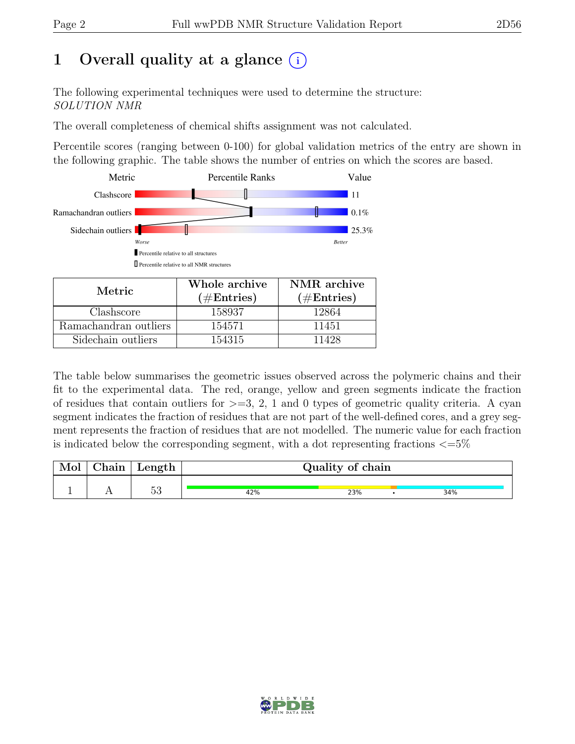# 1 Overall quality at a glance  $(i)$

The following experimental techniques were used to determine the structure: SOLUTION NMR

The overall completeness of chemical shifts assignment was not calculated.

Percentile scores (ranging between 0-100) for global validation metrics of the entry are shown in the following graphic. The table shows the number of entries on which the scores are based.



| Metric.               | Whole archive<br>$(\#Entries)$ | NMR archive<br>$(\#Entries)$ |  |
|-----------------------|--------------------------------|------------------------------|--|
|                       |                                |                              |  |
| Clashscore            | 158937                         | 12864                        |  |
| Ramachandran outliers | 154571                         | 11451                        |  |
| Sidechain outliers    | 154315                         | 11428                        |  |

The table below summarises the geometric issues observed across the polymeric chains and their fit to the experimental data. The red, orange, yellow and green segments indicate the fraction of residues that contain outliers for  $>=$  3, 2, 1 and 0 types of geometric quality criteria. A cyan segment indicates the fraction of residues that are not part of the well-defined cores, and a grey segment represents the fraction of residues that are not modelled. The numeric value for each fraction is indicated below the corresponding segment, with a dot representing fractions  $\langle=5\%$ 

| ${\rm Chain}$ | Length   | Quality of chain |     |     |  |
|---------------|----------|------------------|-----|-----|--|
|               |          |                  |     |     |  |
|               | c٥<br>ಀಀ | 42%              | 23% | 34% |  |

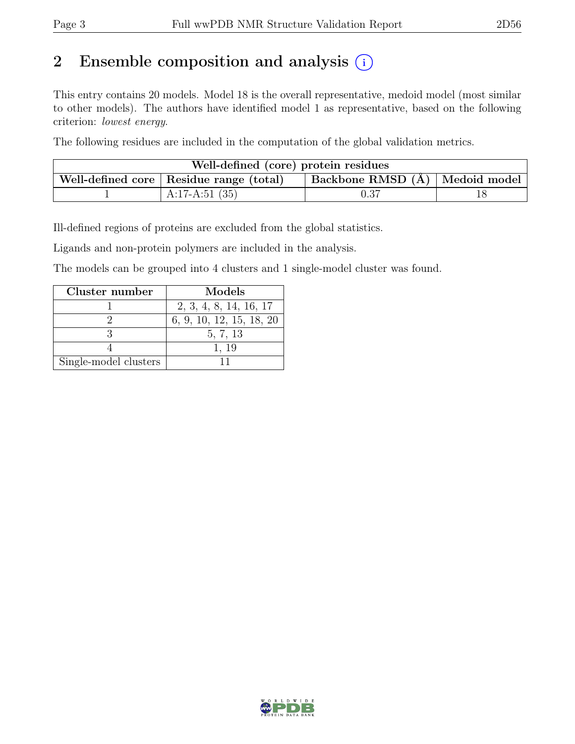# 2 Ensemble composition and analysis  $(i)$

This entry contains 20 models. Model 18 is the overall representative, medoid model (most similar to other models). The authors have identified model 1 as representative, based on the following criterion: lowest energy.

The following residues are included in the computation of the global validation metrics.

| Well-defined (core) protein residues                                                                   |                  |      |  |  |  |
|--------------------------------------------------------------------------------------------------------|------------------|------|--|--|--|
| $\vert$ Backbone RMSD $\overline{A}$ $\vert$ Medoid model<br>Well-defined core   Residue range (total) |                  |      |  |  |  |
|                                                                                                        | A:17-A:51 $(35)$ | 0.37 |  |  |  |

Ill-defined regions of proteins are excluded from the global statistics.

Ligands and non-protein polymers are included in the analysis.

The models can be grouped into 4 clusters and 1 single-model cluster was found.

| Cluster number        | Models                   |
|-----------------------|--------------------------|
|                       | 2, 3, 4, 8, 14, 16, 17   |
|                       | 6, 9, 10, 12, 15, 18, 20 |
|                       | 5, 7, 13                 |
|                       | 1, 19                    |
| Single-model clusters |                          |

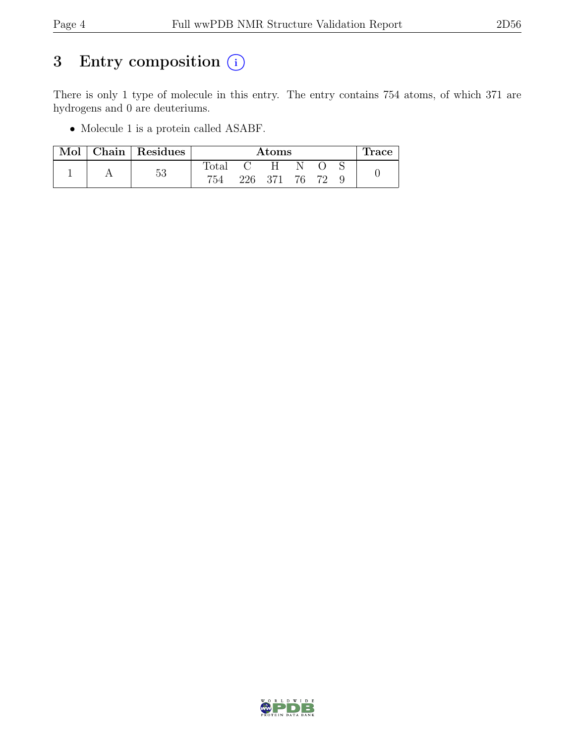# 3 Entry composition  $(i)$

There is only 1 type of molecule in this entry. The entry contains 754 atoms, of which 371 are hydrogens and 0 are deuteriums.

• Molecule 1 is a protein called ASABF.

| Mol | Chain   Residues | $\rm{Atoms}$   |         |   |    | Trace |  |
|-----|------------------|----------------|---------|---|----|-------|--|
|     |                  | $_{\rm Total}$ |         | H |    |       |  |
|     | 53               | 754            | 226 371 |   | 76 |       |  |

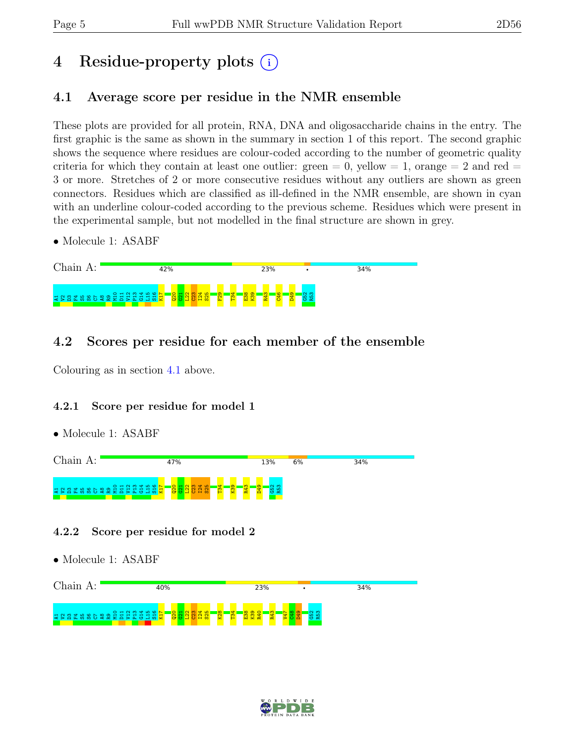# 4 Residue-property plots (i)

## <span id="page-4-0"></span>4.1 Average score per residue in the NMR ensemble

These plots are provided for all protein, RNA, DNA and oligosaccharide chains in the entry. The first graphic is the same as shown in the summary in section 1 of this report. The second graphic shows the sequence where residues are colour-coded according to the number of geometric quality criteria for which they contain at least one outlier:  $green = 0$ ,  $yellow = 1$ ,  $orange = 2$  and  $red =$ 3 or more. Stretches of 2 or more consecutive residues without any outliers are shown as green connectors. Residues which are classified as ill-defined in the NMR ensemble, are shown in cyan with an underline colour-coded according to the previous scheme. Residues which were present in the experimental sample, but not modelled in the final structure are shown in grey.

• Molecule 1: ASABF



## 4.2 Scores per residue for each member of the ensemble

Colouring as in section [4.1](#page-4-0) above.

### 4.2.1 Score per residue for model 1

• Molecule 1: ASABF



### 4.2.2 Score per residue for model 2



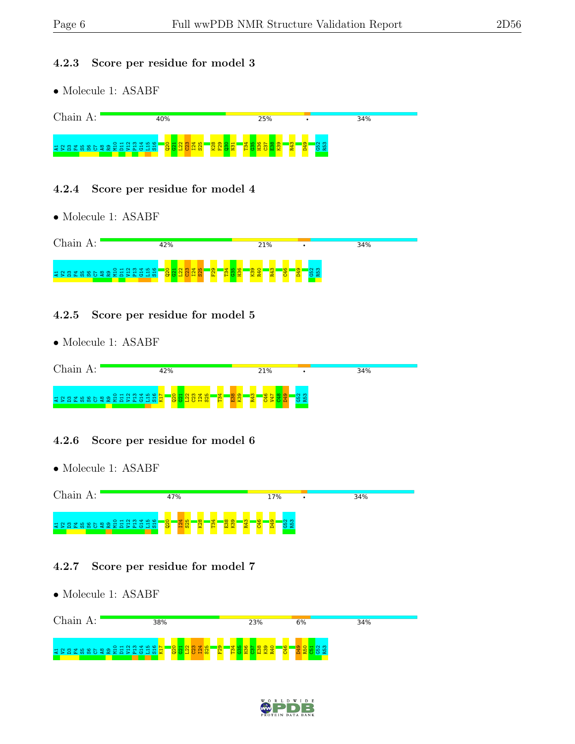#### 4.2.3 Score per residue for model 3

• Molecule 1: ASABF



#### 4.2.4 Score per residue for model 4

• Molecule 1: ASABF



#### 4.2.5 Score per residue for model 5

• Molecule 1: ASABF

| 42%                                                                                                                                                               | 21%                                                   | 34% |
|-------------------------------------------------------------------------------------------------------------------------------------------------------------------|-------------------------------------------------------|-----|
| $O + N$ $M$ $M$ $M$ $D$ $N$<br>$\overline{\bullet}$ $\overline{\bullet}$<br>ம<br>$\sim$ $\sim$<br>$\overline{\phantom{a}}$<br>$\mathbf{a}$ :<br><u>ង ខ ដ</u><br>m | ന<br>ி<br>$\infty$<br>'ന'<br>$\circ$<br>₩<br><b>P</b> |     |

### 4.2.6 Score per residue for model 6

• Molecule 1: ASABF



### 4.2.7 Score per residue for model 7



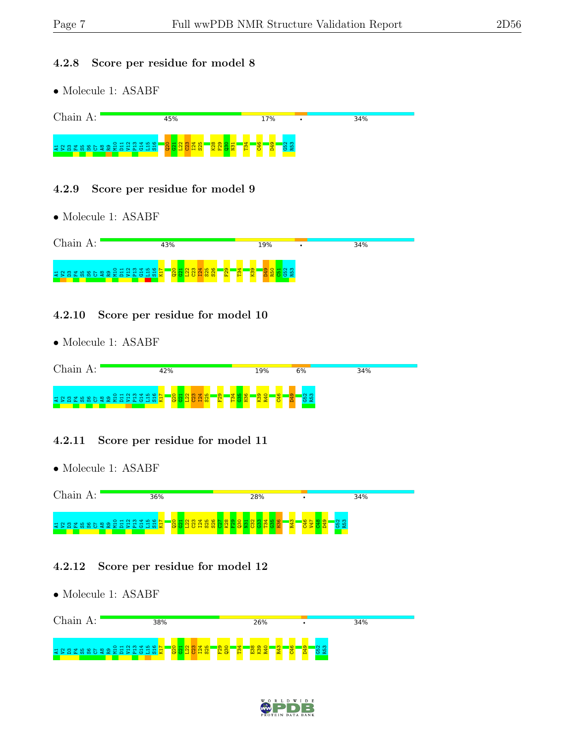#### 4.2.8 Score per residue for model 8

• Molecule 1: ASABF



#### 4.2.9 Score per residue for model 9

• Molecule 1: ASABF



#### 4.2.10 Score per residue for model 10

• Molecule 1: ASABF

| Chain<br>А: | 42%                                                                 | 19%      | 6%       | 34% |
|-------------|---------------------------------------------------------------------|----------|----------|-----|
|             | OHNM400 <mark>N</mark><br>$\circ$<br>- 35 <u>28 39 2</u><br>Ð<br>òà | <b>O</b> | ര ത<br>െ |     |

#### 4.2.11 Score per residue for model 11

• Molecule 1: ASABF



#### 4.2.12 Score per residue for model 12



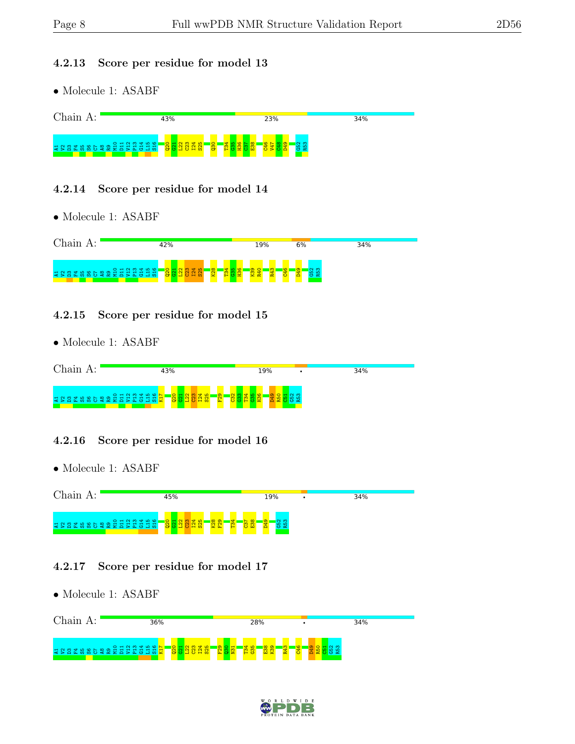#### 4.2.13 Score per residue for model 13

• Molecule 1: ASABF



#### 4.2.14 Score per residue for model 14

• Molecule 1: ASABF



#### 4.2.15 Score per residue for model 15

• Molecule 1: ASABF

| Chain)<br>$\Delta$ . | 43%                                                                                               | 19% | 34% |
|----------------------|---------------------------------------------------------------------------------------------------|-----|-----|
|                      | O H N M H Q N<br>$  \overline{\mathbb{Q}}  $<br><b>SC</b><br><b>C</b><br>-<br>ESESHEE<br>$\omega$ | ത   |     |

### 4.2.16 Score per residue for model 16

• Molecule 1: ASABF



### 4.2.17 Score per residue for model 17



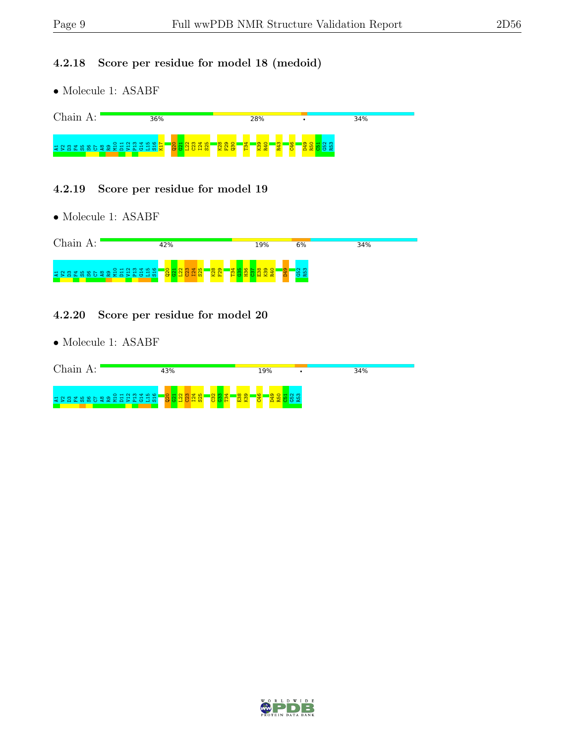#### 4.2.18 Score per residue for model 18 (medoid)

• Molecule 1: ASABF



#### 4.2.19 Score per residue for model 19

• Molecule 1: ASABF

| Chain<br>А:                                | 42%                                                               | 19%      | 34%<br>6% |  |
|--------------------------------------------|-------------------------------------------------------------------|----------|-----------|--|
| A H W W Q R R Z Q D H Q H<br>$\leq$ $\geq$ | $\frac{8}{8}$<br>$\sim$<br>₩<br>18<br>o o<br>H <sub>0</sub><br>ப∾ | စာ့<br>ക | ത         |  |

#### 4.2.20 Score per residue for model 20

| Chain)<br>д.                               | 43%                                | 19%                                                     | 34% |
|--------------------------------------------|------------------------------------|---------------------------------------------------------|-----|
| $O + N$ $M$ $N$ $M$ $M$<br>. ਜ ਜ ਜ<br>∖ τΩ | $\circ$<br>A<br>H<br>$\omega$<br>ಲ | ு<br><u>ုထ</u><br><u>, co z</u><br><u>တ္</u><br>ы<br>×. |     |

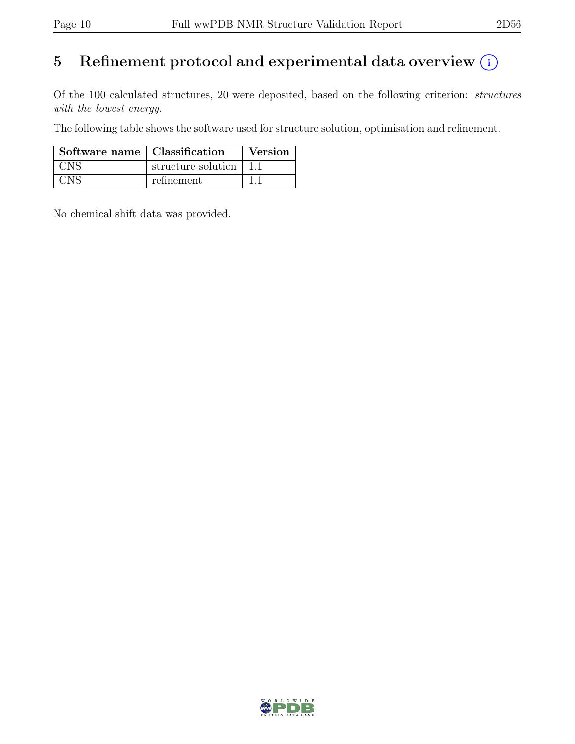# 5 Refinement protocol and experimental data overview  $(i)$

Of the 100 calculated structures, 20 were deposited, based on the following criterion: structures with the lowest energy.

The following table shows the software used for structure solution, optimisation and refinement.

| Software name   Classification |                    | Version |
|--------------------------------|--------------------|---------|
| <b>CNS</b>                     | structure solution |         |
| $\gamma_{\rm{N}}$ S            | refinement         |         |

No chemical shift data was provided.

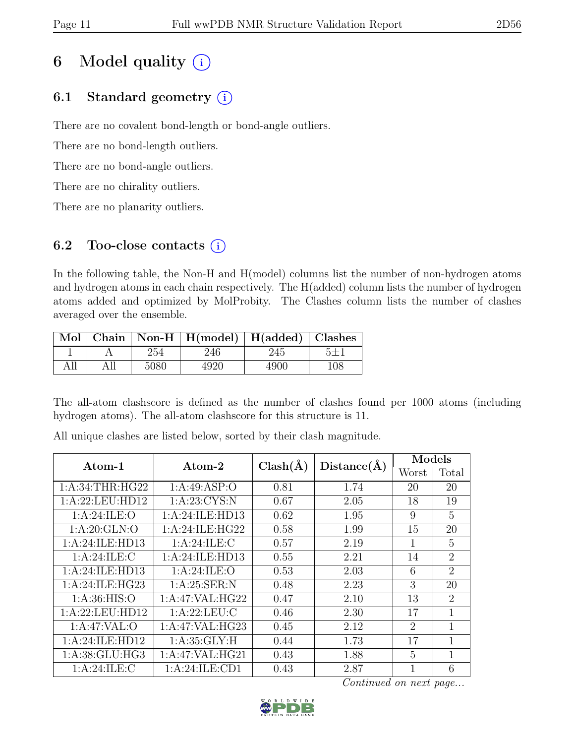# 6 Model quality  $(i)$

# 6.1 Standard geometry  $(i)$

There are no covalent bond-length or bond-angle outliers.

There are no bond-length outliers.

There are no bond-angle outliers.

There are no chirality outliers.

There are no planarity outliers.

## 6.2 Too-close contacts  $(i)$

In the following table, the Non-H and H(model) columns list the number of non-hydrogen atoms and hydrogen atoms in each chain respectively. The H(added) column lists the number of hydrogen atoms added and optimized by MolProbity. The Clashes column lists the number of clashes averaged over the ensemble.

|     |     |      | Mol   Chain   Non-H   H(model)   H(added)   Clashes |      |     |
|-----|-----|------|-----------------------------------------------------|------|-----|
|     |     | 254  | 246                                                 | 245  |     |
| All | All | 5080 | 4920                                                | 4900 | 108 |

The all-atom clashscore is defined as the number of clashes found per 1000 atoms (including hydrogen atoms). The all-atom clashscore for this structure is 11.

| Atom-1           | Atom-2          | $Clash(\AA)$ | Distance(A) | Models         |                |
|------------------|-----------------|--------------|-------------|----------------|----------------|
|                  |                 |              |             | Worst          | Total          |
| 1: A:34:THR:HG22 | 1:A:49:ASP:O    | 0.81         | 1.74        | 20             | 20             |
| 1:A:22:LEU:HD12  | 1: A:23: CYS:N  | 0.67         | 2.05        | 18             | 19             |
| 1: A:24: ILE: O  | 1:A:24:ILE:HD13 | 0.62         | 1.95        | 9              | 5              |
| 1:A:20:GLN:O     | 1:A:24:ILE:HG22 | 0.58         | 1.99        | 15             | 20             |
| 1:A:24:ILE:HD13  | 1: A:24: ILE:C  | 0.57         | 2.19        | 1              | 5              |
| 1: A:24: ILE: C  | 1:A:24:ILE:HD13 | 0.55         | 2.21        | 14             | $\overline{2}$ |
| 1:A:24:ILE:HD13  | 1: A:24: ILE: O | 0.53         | 2.03        | 6              | $\overline{2}$ |
| 1:A:24:ILE:HG23  | 1: A:25: SER: N | 0.48         | 2.23        | 3              | 20             |
| 1: A:36: HIS:O   | 1:A:47:VAL:HG22 | 0.47         | 2.10        | 13             | $\overline{2}$ |
| 1:A:22:LEU:HD12  | 1: A:22:LEU:C   | 0.46         | 2.30        | 17             | $\mathbf{1}$   |
| 1:A:47:VAL:O     | 1:A:47:VAL:HG23 | 0.45         | 2.12        | $\overline{2}$ | 1              |
| 1:A:24:ILE:HD12  | 1: A:35: GLY: H | 0.44         | 1.73        | 17             | $\mathbf{1}$   |
| 1:A:38:GLU:HG3   | 1:A:47:VAL:HG21 | 0.43         | 1.88        | 5              | 1              |
| 1: A:24: ILE:C   | 1:A:24:ILE:CD1  | 0.43         | 2.87        | 1              | 6              |

All unique clashes are listed below, sorted by their clash magnitude.

Continued on next page...

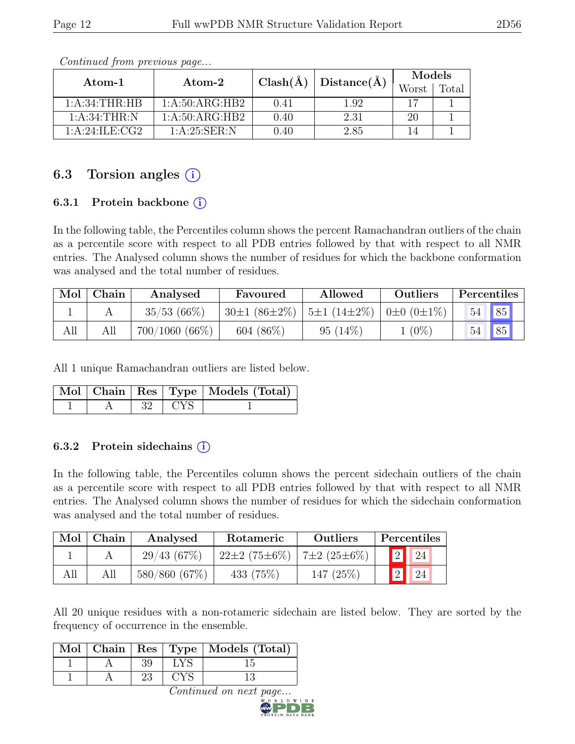| Atom-1           |                                        | $Clash(\AA)$ |                | <b>Models</b> |       |
|------------------|----------------------------------------|--------------|----------------|---------------|-------|
|                  | Atom-2                                 |              | Distance $(A)$ | Worst         | Total |
| 1: A:34:THR:HB   | 1: A:50: ARG:HB2                       | 0.41         | 1.92           | 17            |       |
| 1: A:34:THR:N    | 1:A:50:ARG:HB2                         | 0.40         | 2.31           | 20            |       |
| 1: A:24:ILE: CG2 | $1 \cdot A \cdot 25 \cdot SER \cdot N$ | 0.40         | 2.85           |               |       |

Continued from previous page...

## 6.3 Torsion angles  $(i)$

#### 6.3.1 Protein backbone  $(i)$

In the following table, the Percentiles column shows the percent Ramachandran outliers of the chain as a percentile score with respect to all PDB entries followed by that with respect to all NMR entries. The Analysed column shows the number of residues for which the backbone conformation was analysed and the total number of residues.

|     | $Mol$   Chain | Analysed         | Favoured           | Allowed                                            | Outliers | Percentiles |    |  |
|-----|---------------|------------------|--------------------|----------------------------------------------------|----------|-------------|----|--|
|     |               | $35/53(66\%)$    | $30\pm1(86\pm2\%)$ | $\vert 5\pm 1 (14\pm 2\%) \vert 0\pm 0 (0\pm 1\%)$ |          | 54          | 85 |  |
| All |               | $700/1060(66\%)$ | $604~(86\%)$       | $95(14\%)$                                         | $(0\%)$  | 54          | 85 |  |

All 1 unique Ramachandran outliers are listed below.

|  |      |       | Mol   Chain   Res   Type   Models (Total) |
|--|------|-------|-------------------------------------------|
|  | - 32 | t CYS |                                           |

#### 6.3.2 Protein sidechains  $(i)$

In the following table, the Percentiles column shows the percent sidechain outliers of the chain as a percentile score with respect to all PDB entries followed by that with respect to all NMR entries. The Analysed column shows the number of residues for which the sidechain conformation was analysed and the total number of residues.

| Mol | Chain | Analysed     | Rotameric                              | Outliers    |             | Percentiles |
|-----|-------|--------------|----------------------------------------|-------------|-------------|-------------|
|     |       | 29/43(67%)   | $22\pm2(75\pm6\%)$   $7\pm2(25\pm6\%)$ |             | $\boxed{2}$ | 24          |
| All |       | 580/860(67%) | 433 $(75%)$                            | 147 $(25%)$ |             | 24          |

All 20 unique residues with a non-rotameric sidechain are listed below. They are sorted by the frequency of occurrence in the ensemble.

|  |    | Mol   Chain   Res   Type   Models (Total) |
|--|----|-------------------------------------------|
|  | 39 |                                           |
|  |    |                                           |

Continued on next page.

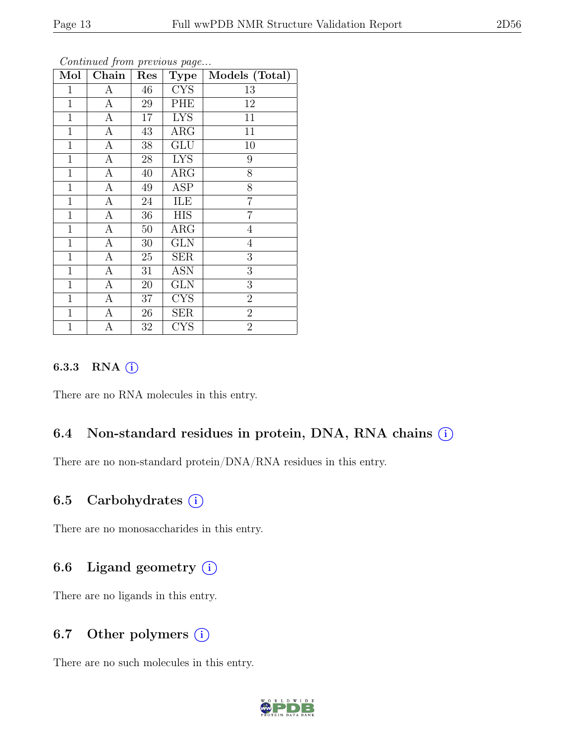|--|

| Mol            | Chain            | Res             | <b>Type</b> | Models (Total) |
|----------------|------------------|-----------------|-------------|----------------|
| 1              | А                | 46              | <b>CYS</b>  | 13             |
| $\mathbf{1}$   | А                | 29              | PHE         | 12             |
| $\mathbf 1$    | $\overline{A}$   | 17              | <b>LYS</b>  | 11             |
| $\mathbf 1$    | $\boldsymbol{A}$ | 43              | $\rm{ARG}$  | 11             |
| $\mathbf{1}$   | $\overline{A}$   | $38\,$          | <b>GLU</b>  | 10             |
| $\mathbf 1$    | $\boldsymbol{A}$ | 28              | <b>LYS</b>  | 9              |
| $\mathbf{1}$   | $\overline{A}$   | 40              | $\rm{ARG}$  | 8              |
| $\mathbf{1}$   | $\overline{A}$   | 49              | <b>ASP</b>  | $\overline{8}$ |
| $\mathbf{1}$   | А                | 24              | ILE         | $\overline{7}$ |
| $\mathbf 1$    | $\overline{A}$   | $\overline{36}$ | <b>HIS</b>  | $\overline{7}$ |
| $\mathbf{1}$   | А                | 50              | $\rm{ARG}$  | 4              |
| $\mathbf{1}$   | А                | 30              | <b>GLN</b>  | $\overline{4}$ |
| $\mathbf{1}$   | $\overline{A}$   | 25              | <b>SER</b>  | 3              |
| $\mathbf{1}$   | $\boldsymbol{A}$ | 31              | ASN         | 3              |
| $\mathbf{1}$   | $\overline{A}$   | 20              | GLN         | 3              |
| $\mathbf{1}$   | $\boldsymbol{A}$ | 37              | <b>CYS</b>  | $\overline{2}$ |
| $\mathbf{1}$   | А                | 26              | <b>SER</b>  | $\overline{2}$ |
| $\overline{1}$ | А                | 32              | <b>CYS</b>  | $\overline{2}$ |

Continued from previous page...

#### 6.3.3 RNA  $(i)$

There are no RNA molecules in this entry.

### 6.4 Non-standard residues in protein, DNA, RNA chains (i)

There are no non-standard protein/DNA/RNA residues in this entry.

## 6.5 Carbohydrates  $(i)$

There are no monosaccharides in this entry.

## 6.6 Ligand geometry  $(i)$

There are no ligands in this entry.

### 6.7 Other polymers  $(i)$

There are no such molecules in this entry.

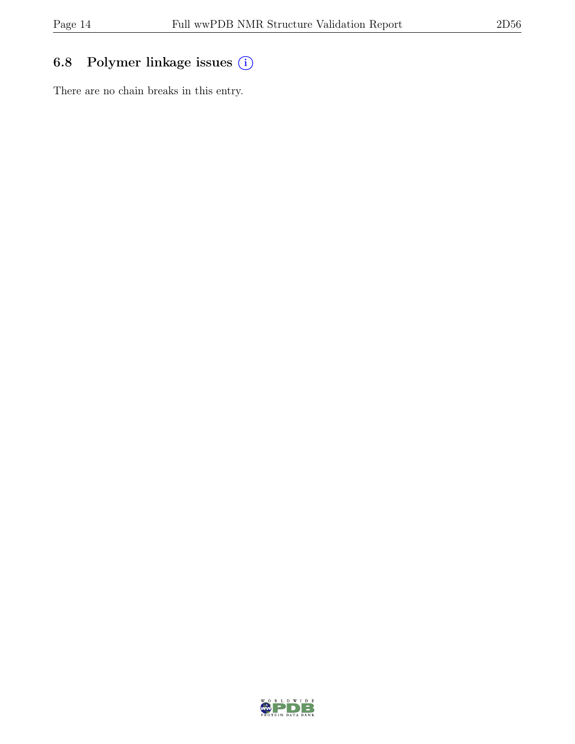# 6.8 Polymer linkage issues (i)

There are no chain breaks in this entry.